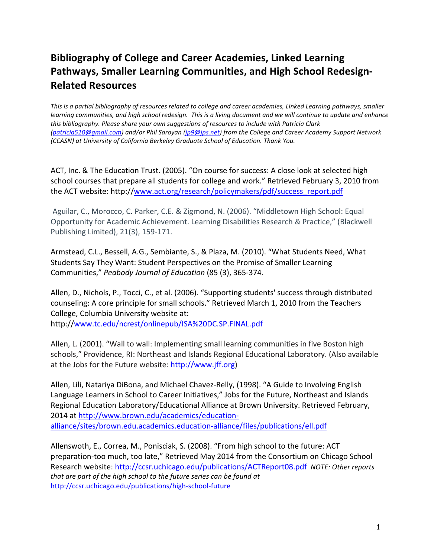# **Bibliography of College and Career Academies, Linked Learning** Pathways, Smaller Learning Communities, and High School Redesign-**Related,Resources**

*This is a partial bibliography of resources related to college and career academies, Linked Learning pathways, smaller learning%communities,%and%high%school%redesign.%%This%is%a%living%document%and%we%will%continue%to%update%and enhance%* this bibliography. Please share your own suggestions of resources to include with Patricia Clark *(patricia510@gmail.com)%and/or%Phil%Saroyan%(jp9@jps.net)%from%the%College%and%Career%Academy%Support%Network% (CCASN) at University of California Berkeley Graduate School of Education. Thank You.* 

ACT, Inc. & The Education Trust. (2005). "On course for success: A close look at selected high school courses that prepare all students for college and work." Retrieved February 3, 2010 from the ACT website: http://www.act.org/research/policymakers/pdf/success\_report.pdf

Aguilar, C., Morocco, C. Parker, C.E. & Zigmond, N. (2006). "Middletown High School: Equal Opportunity for Academic Achievement. Learning Disabilities Research & Practice," (Blackwell Publishing Limited), 21(3), 159-171.

Armstead, C.L., Bessell, A.G., Sembiante, S., & Plaza, M. (2010). "What Students Need, What Students Say They Want: Student Perspectives on the Promise of Smaller Learning Communities," Peabody Journal of Education (85 (3), 365-374.

Allen, D., Nichols, P., Tocci, C., et al. (2006). "Supporting students' success through distributed counseling: A core principle for small schools." Retrieved March 1, 2010 from the Teachers College, Columbia University website at: http://www.tc.edu/ncrest/onlinepub/ISA%20DC.SP.FINAL.pdf

Allen, L. (2001). "Wall to wall: Implementing small learning communities in five Boston high schools," Providence, RI: Northeast and Islands Regional Educational Laboratory. (Also available at the Jobs for the Future website: http://www.jff.org)

Allen, Lili, Natariya DiBona, and Michael Chavez-Relly, (1998). "A Guide to Involving English Language Learners in School to Career Initiatives," Jobs for the Future, Northeast and Islands Regional Education Laboratory/Educational Alliance at Brown University. Retrieved February, 2014 at http://www.brown.edu/academics/educationalliance/sites/brown.edu.academics.education-alliance/files/publications/ell.pdf

Allenswoth, E., Correa, M., Ponisciak, S. (2008). "From high school to the future: ACT preparation-too much, too late," Retrieved May 2014 from the Consortium on Chicago School Research website: http://ccsr.uchicago.edu/publications/ACTReport08.pdf *NOTE: Other reports* that are part of the high school to the future series can be found at http://ccsr.uchicago.edu/publications/high-school-future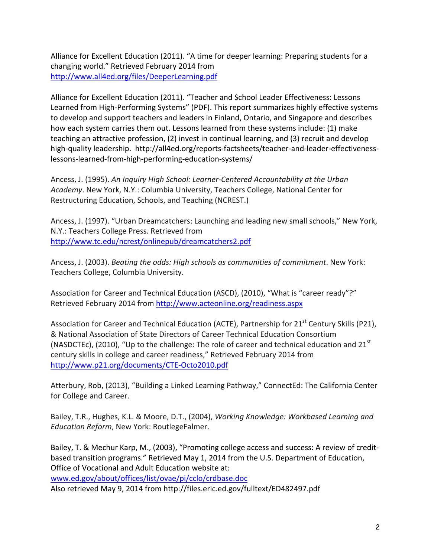Alliance for Excellent Education (2011). "A time for deeper learning: Preparing students for a changing world." Retrieved February 2014 from http://www.all4ed.org/files/DeeperLearning.pdf

Alliance for Excellent Education (2011). "Teacher and School Leader Effectiveness: Lessons Learned from High-Performing Systems" (PDF). This report summarizes highly effective systems to develop and support teachers and leaders in Finland, Ontario, and Singapore and describes how each system carries them out. Lessons learned from these systems include: (1) make teaching an attractive profession, (2) invest in continual learning, and (3) recruit and develop high-quality leadership. http://all4ed.org/reports-factsheets/teacher-and-leader-effectivenesslessons-learned-from-high-performing-education-systems/

Ancess, J. (1995). An Inquiry High School: Learner-Centered Accountability at the Urban Academy. New York, N.Y.: Columbia University, Teachers College, National Center for Restructuring Education, Schools, and Teaching (NCREST.)

Ancess, J. (1997). "Urban Dreamcatchers: Launching and leading new small schools," New York, N.Y.: Teachers College Press. Retrieved from http://www.tc.edu/ncrest/onlinepub/dreamcatchers2.pdf

Ancess, J. (2003). *Beating the odds: High schools as communities of commitment*. New York: Teachers College, Columbia University.

Association for Career and Technical Education (ASCD), (2010), "What is "career ready"?" Retrieved February 2014 from http://www.acteonline.org/readiness.aspx

Association for Career and Technical Education (ACTE), Partnership for  $21<sup>st</sup>$  Century Skills (P21), & National Association of State Directors of Career Technical Education Consortium (NASDCTEc), (2010), "Up to the challenge: The role of career and technical education and  $21<sup>st</sup>$ century skills in college and career readiness," Retrieved February 2014 from http://www.p21.org/documents/CTE-Octo2010.pdf

Atterbury, Rob, (2013), "Building a Linked Learning Pathway," ConnectEd: The California Center for College and Career.

Bailey, T.R., Hughes, K.L. & Moore, D.T., (2004), *Working Knowledge: Workbased Learning and Education Reform*, New York: RoutlegeFalmer.

Bailey, T. & Mechur Karp, M., (2003), "Promoting college access and success: A review of creditbased transition programs." Retrieved May 1, 2014 from the U.S. Department of Education, Office of Vocational and Adult Education website at:

www.ed.gov/about/offices/list/ovae/pi/cclo/crdbase.doc

Also retrieved May 9, 2014 from http://files.eric.ed.gov/fulltext/ED482497.pdf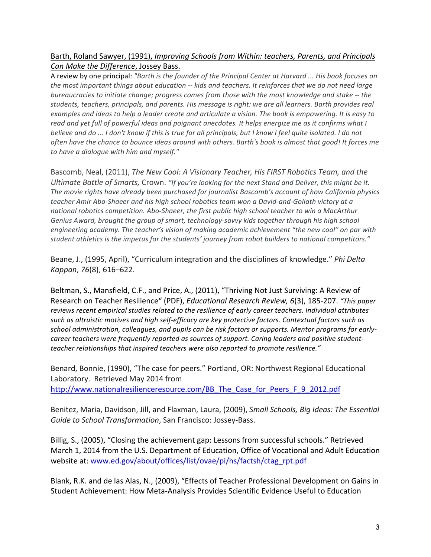# Barth, Roland Sawyer, (1991), *Improving Schools from Within: teachers, Parents, and Principals Can Make the Difference, Jossey Bass.*

A review by one principal: "Barth is the founder of the Principal Center at Harvard ... His book focuses on *the most important things about education -- kids and teachers. It reinforces that we do not need large bureaucracies to initiate change; progress comes from those with the most knowledge and stake -- the students, teachers, principals, and parents. His message is right: we are all learners. Barth provides real* examples and ideas to help a leader create and articulate a vision. The book is empowering. It is easy to *read and yet full of powerful ideas and poignant anecdotes. It helps energize me as it confirms what I believe%and%do%...%I%don't%know%if%this%is%true%for%all%principals,%but%I%know%I%feel%quite%isolated.%I%do%not%* often have the chance to bounce ideas around with others. Barth's book is almost that good! It forces me to have a dialogue with him and myself."

Bascomb, Neal, (2011), *The New Cool: A Visionary Teacher, His FIRST Robotics Team, and the Ultimate Battle of Smarts, Crown. "If you're looking for the next Stand and Deliver, this might be it.* The movie rights have already been purchased for journalist Bascomb's account of how California physics teacher Amir Abo-Shaeer and his high school robotics team won a David-and-Goliath victory at a national robotics competition. Abo-Shaeer, the first public high school teacher to win a MacArthur Genius Award, brought the group of smart, technology-savvy kids together through his high school engineering academy. The teacher's vision of making academic achievement "the new cool" on par with student athletics is the impetus for the students' journey from robot builders to national competitors."

Beane, J., (1995, April), "Curriculum integration and the disciplines of knowledge." *Phi Delta Kappan*,!*76*(8),!616–622.

Beltman, S., Mansfield, C.F., and Price, A., (2011), "Thriving Not Just Surviving: A Review of Research on Teacher Resilience" (PDF), *Educational Research Review, 6*(3), 185-207. *"This paper* reviews recent empirical studies related to the resilience of early career teachers. Individual attributes such as altruistic motives and high self-efficacy are key protective factors. Contextual factors such as school administration, colleagues, and pupils can be risk factors or supports. Mentor programs for earlycareer teachers were frequently reported as sources of support. Caring leaders and positive studentteacher relationships that inspired teachers were also reported to promote resilience."

Benard, Bonnie, (1990), "The case for peers." Portland, OR: Northwest Regional Educational Laboratory. Retrieved May 2014 from http://www.nationalresilienceresource.com/BB\_The\_Case\_for\_Peers\_F\_9\_2012.pdf

Benitez, Maria, Davidson, Jill, and Flaxman, Laura, (2009), *Small Schools, Big Ideas: The Essential Guide to School Transformation*, San Francisco: Jossey-Bass.

Billig, S., (2005), "Closing the achievement gap: Lessons from successful schools." Retrieved March 1, 2014 from the U.S. Department of Education, Office of Vocational and Adult Education website at: www.ed.gov/about/offices/list/ovae/pi/hs/factsh/ctag\_rpt.pdf

Blank, R.K. and de las Alas, N., (2009), "Effects of Teacher Professional Development on Gains in Student Achievement: How Meta-Analysis Provides Scientific Evidence Useful to Education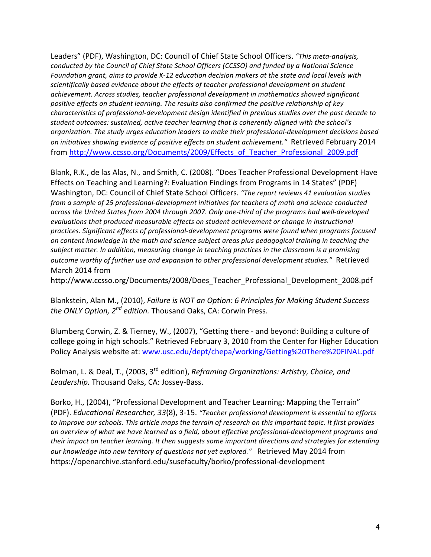Leaders" (PDF), Washington, DC: Council of Chief State School Officers. "This meta-analysis, conducted by the Council of Chief State School Officers (CCSSO) and funded by a National Science *Foundation grant, aims to provide K-12 education decision makers at the state and local levels with* scientifically based evidence about the effects of teacher professional development on student achievement. Across studies, teacher professional development in mathematics showed significant positive effects on student learning. The results also confirmed the positive relationship of key *characteristics of professional-development design identified in previous studies over the past decade to* student outcomes: sustained, active teacher learning that is coherently aligned with the school's *organization.%The%study%urges%education%leaders%to%make%their%professionalUdevelopment%decisions%based% on initiatives showing evidence of positive effects on student achievement."* Retrieved February 2014 from http://www.ccsso.org/Documents/2009/Effects\_of\_Teacher\_Professional\_2009.pdf

Blank, R.K., de las Alas, N., and Smith, C. (2008). "Does Teacher Professional Development Have Effects on Teaching and Learning?: Evaluation Findings from Programs in 14 States" (PDF) Washington, DC: Council of Chief State School Officers. "The report reviews 41 evaluation studies *from a sample of 25 professional-development initiatives for teachers of math and science conducted* across the United States from 2004 through 2007. Only one-third of the programs had well-developed evaluations that produced measurable effects on student achievement or change in instructional practices. Significant effects of professional-development programs were found when programs focused on content knowledge in the math and science subject areas plus pedagogical training in teaching the subject matter. In addition, measuring change in teaching practices in the classroom is a promising outcome worthy of further use and expansion to other professional development studies." Retrieved March 2014 from

http://www.ccsso.org/Documents/2008/Does\_Teacher\_Professional\_Development\_2008.pdf

Blankstein, Alan M., (2010), *Failure is NOT an Option: 6 Principles for Making Student Success the ONLY Option, 2<sup>nd</sup> edition.* Thousand Oaks, CA: Corwin Press.

Blumberg Corwin, Z. & Tierney, W., (2007), "Getting there - and beyond: Building a culture of college going in high schools." Retrieved February 3, 2010 from the Center for Higher Education Policy Analysis website at: www.usc.edu/dept/chepa/working/Getting%20There%20FINAL.pdf

Bolman, L. & Deal, T., (2003, 3<sup>rd</sup> edition), *Reframing Organizations: Artistry, Choice, and* Leadership. Thousand Oaks, CA: Jossey-Bass.

Borko, H., (2004), "Professional Development and Teacher Learning: Mapping the Terrain" (PDF). *Educational Researcher, 33*(8), 3-15. *"Teacher professional development is essential to efforts* to improve our schools. This article maps the terrain of research on this important topic. It first provides an overview of what we have learned as a field, about effective professional-development programs and *their impact on teacher learning. It then suggests some important directions and strategies for extending our knowledge into new territory of questions not yet explored."* Retrieved May 2014 from https://openarchive.stanford.edu/susefaculty/borko/professional-development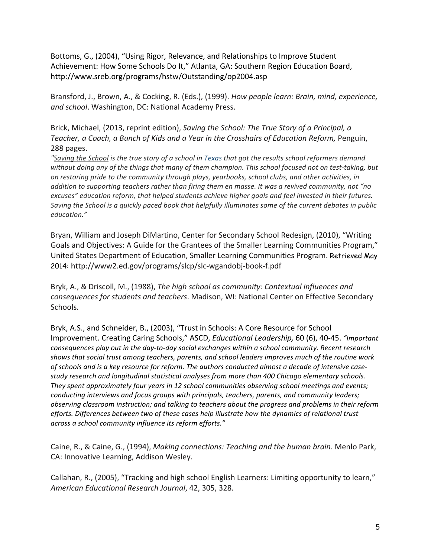Bottoms, G., (2004), "Using Rigor, Relevance, and Relationships to Improve Student Achievement: How Some Schools Do It," Atlanta, GA: Southern Region Education Board, http://www.sreb.org/programs/hstw/Outstanding/op2004.asp

Bransford, J., Brown, A., & Cocking, R. (Eds.), (1999). *How people learn: Brain, mind, experience,* and school. Washington, DC: National Academy Press.

Brick, Michael, (2013, reprint edition), Saving the School: The True Story of a Principal, a *Teacher,%a%Coach,%a%Bunch%of%Kids%and%a%Year%in%the Crosshairs%of%Education%Reform,%*Penguin,! 288 pages.

*"Saving%the%School is%the%true%story%of%a%school%in%Texas that%got%the%results%school%reformers%demand%* without doing any of the things that many of them champion. This school focused not on test-taking, but *on%restoring%pride%to%the%community%through%plays,%yearbooks,%school%clubs,%and%other%activities,%in%* addition to supporting teachers rather than firing them en masse. It was a revived community, not "no excuses" education reform, that helped students achieve higher goals and feel invested in their futures. *Saving%the%School is%a%quickly%paced%book%that%helpfully%illuminates%some%of%the%current%debates%in%public% education."*

Bryan, William and Joseph DiMartino, Center for Secondary School Redesign, (2010), "Writing Goals and Objectives: A Guide for the Grantees of the Smaller Learning Communities Program," United States Department of Education, Smaller Learning Communities Program. Retrieved May 2014: http://www2.ed.gov/programs/slcp/slc-wgandobj-book-f.pdf

Bryk, A., & Driscoll, M., (1988), *The high school as community: Contextual influences and* consequences for students and teachers. Madison, WI: National Center on Effective Secondary Schools.

Bryk, A.S., and Schneider, B., (2003), "Trust in Schools: A Core Resource for School Improvement. Creating Caring Schools," ASCD, *Educational Leadership,* 60 (6), 40-45. "Important consequences play out in the day-to-day social exchanges within a school community. Recent research shows that social trust among teachers, parents, and school leaders improves much of the routine work of schools and is a key resource for reform. The authors conducted almost a decade of intensive casestudy research and longitudinal statistical analyses from more than 400 Chicago elementary schools. They spent approximately four years in 12 school communities observing school meetings and events; conducting interviews and focus groups with principals, teachers, parents, and community leaders; *observing%classroom%instruction;%and%talking%to%teachers%about%the%progress%and%problems%in%their%reform%* efforts. Differences between two of these cases help illustrate how the dynamics of relational trust across a school community influence its reform efforts."

Caine, R., & Caine, G., (1994), *Making connections: Teaching and the human brain*. Menlo Park, CA: Innovative Learning, Addison Wesley.

Callahan, R., (2005), "Tracking and high school English Learners: Limiting opportunity to learn," *American%Educational%Research%Journal*,!42,!305,!328.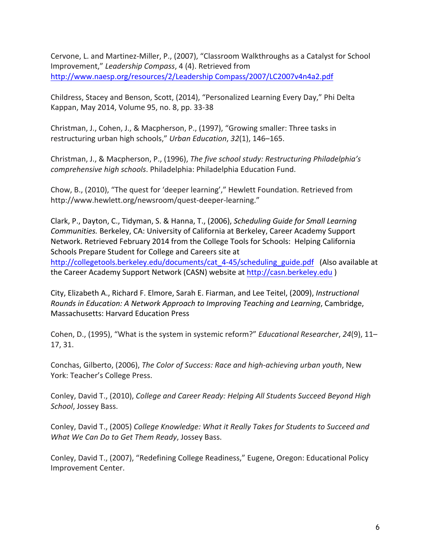Cervone, L. and Martinez-Miller, P., (2007), "Classroom Walkthroughs as a Catalyst for School Improvement," Leadership Compass, 4 (4). Retrieved from http://www.naesp.org/resources/2/Leadership Compass/2007/LC2007v4n4a2.pdf

Childress, Stacey and Benson, Scott, (2014), "Personalized Learning Every Day," Phi Delta Kappan, May 2014, Volume 95, no. 8, pp. 33-38

Christman, J., Cohen, J., & Macpherson, P., (1997), "Growing smaller: Three tasks in restructuring urban high schools," *Urban Education*, 32(1), 146–165.

Christman, J., & Macpherson, P., (1996), *The five school study: Restructuring Philadelphia's comprehensive high schools*. Philadelphia: Philadelphia Education Fund.

Chow, B., (2010), "The quest for 'deeper learning'," Hewlett Foundation. Retrieved from http://www.hewlett.org/newsroom/quest-deeper-learning."

Clark, P., Dayton, C., Tidyman, S. & Hanna, T., (2006), *Scheduling Guide for Small Learning Communities. Berkeley, CA: University of California at Berkeley, Career Academy Support* Network. Retrieved February 2014 from the College Tools for Schools: Helping California Schools Prepare Student for College and Careers site at http://collegetools.berkeley.edu/documents/cat\_4-45/scheduling\_guide.pdf (Also available at the Career Academy Support Network (CASN) website at http://casn.berkeley.edu )

City, Elizabeth A., Richard F. Elmore, Sarah E. Fiarman, and Lee Teitel, (2009), *Instructional Rounds in Education: A Network Approach to Improving Teaching and Learning, Cambridge,* Massachusetts: Harvard Education Press

Cohen, D., (1995), "What is the system in systemic reform?" *Educational Researcher*, 24(9), 11– 17, 31.

Conchas, Gilberto, (2006), *The Color of Success: Race and high-achieving urban youth*, New York: Teacher's College Press.

Conley, David T., (2010), *College and Career Ready: Helping All Students Succeed Beyond High* School, Jossey Bass.

Conley, David T., (2005) College Knowledge: What it Really Takes for Students to Succeed and *What We Can Do to Get Them Ready, Jossey Bass.* 

Conley, David T., (2007), "Redefining College Readiness," Eugene, Oregon: Educational Policy Improvement Center.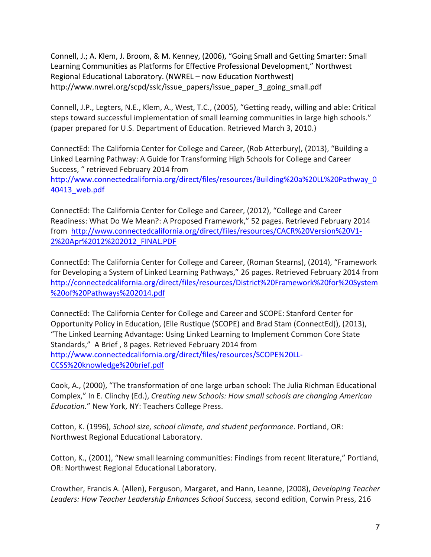Connell, J.; A. Klem, J. Broom, & M. Kenney, (2006), "Going Small and Getting Smarter: Small Learning Communities as Platforms for Effective Professional Development," Northwest Regional Educational Laboratory. (NWREL – now Education Northwest) http://www.nwrel.org/scpd/sslc/issue\_papers/issue\_paper\_3\_going\_small.pdf

Connell, J.P., Legters, N.E., Klem, A., West, T.C., (2005), "Getting ready, willing and able: Critical steps toward successful implementation of small learning communities in large high schools." (paper prepared for U.S. Department of Education. Retrieved March 3, 2010.)

ConnectEd: The California Center for College and Career, (Rob Atterbury), (2013), "Building a Linked Learning Pathway: A Guide for Transforming High Schools for College and Career Success, " retrieved February 2014 from

http://www.connectedcalifornia.org/direct/files/resources/Building%20a%20LL%20Pathway\_0 40413\_web.pdf

ConnectEd: The California Center for College and Career, (2012), "College and Career Readiness: What Do We Mean?: A Proposed Framework," 52 pages. Retrieved February 2014 from http://www.connectedcalifornia.org/direct/files/resources/CACR%20Version%20V1-2%20Apr%2012%202012\_FINAL.PDF

ConnectEd: The California Center for College and Career, (Roman Stearns), (2014), "Framework for Developing a System of Linked Learning Pathways," 26 pages. Retrieved February 2014 from http://connectedcalifornia.org/direct/files/resources/District%20Framework%20for%20System %20of%20Pathways%202014.pdf

ConnectEd: The California Center for College and Career and SCOPE: Stanford Center for Opportunity Policy in Education, (Elle Rustique (SCOPE) and Brad Stam (ConnectEd)), (2013), "The Linked Learning Advantage: Using Linked Learning to Implement Common Core State Standards," A Brief, 8 pages. Retrieved February 2014 from http://www.connectedcalifornia.org/direct/files/resources/SCOPE%20LL-CCSS%20knowledge%20brief.pdf

Cook, A., (2000), "The transformation of one large urban school: The Julia Richman Educational Complex," In E. Clinchy (Ed.), *Creating new Schools: How small schools are changing American Education."* New York, NY: Teachers College Press.

Cotton, K. (1996), *School size, school climate, and student performance*. Portland, OR: Northwest Regional Educational Laboratory.

Cotton, K., (2001), "New small learning communities: Findings from recent literature," Portland, OR: Northwest Regional Educational Laboratory.

Crowther, Francis A. (Allen), Ferguson, Margaret, and Hann, Leanne, (2008), *Developing Teacher* Leaders: How Teacher Leadership Enhances School Success, second edition, Corwin Press, 216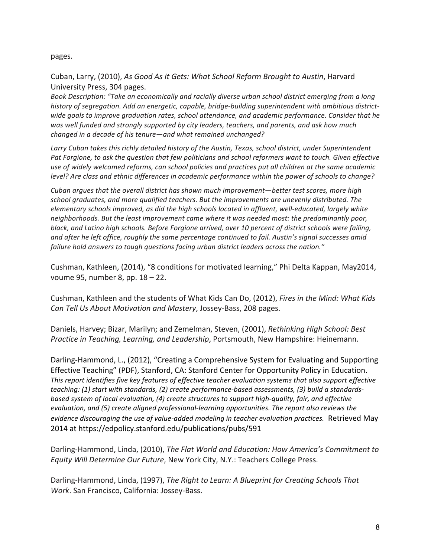#### pages.

Cuban, Larry, (2010), *As Good As It Gets: What School Reform Brought to Austin*, Harvard University Press, 304 pages.

Book Description: "Take an economically and racially diverse urban school district emerging from a long *history of segregation. Add an energetic, capable, bridge-building superintendent with ambitious district*wide goals to improve graduation rates, school attendance, and academic performance. Consider that he was well funded and strongly supported by city leaders, teachers, and parents, and ask how much changed in a decade of his tenure—and what remained unchanged?

Larry Cuban takes this richly detailed history of the Austin, Texas, school district, under Superintendent Pat Forgione, to ask the question that few politicians and school reformers want to touch. Given effective use of widely welcomed reforms, can school policies and practices put all children at the same academic *level? Are class and ethnic differences in academic performance within the power of schools to change?* 

Cuban argues that the overall district has shown much improvement—better test scores, more high school graduates, and more qualified teachers. But the improvements are unevenly distributed. The *elementary schools improved, as did the high schools located in affluent, well-educated, largely white* neighborhoods. But the least improvement came where it was needed most: the predominantly poor, *black, and Latino high schools. Before Forgione arrived, over 10 percent of district schools were failing,* and after he left office, roughly the same percentage continued to fail. Austin's signal successes amid failure hold answers to tough questions facing urban district leaders across the nation."

Cushman, Kathleen, (2014), "8 conditions for motivated learning," Phi Delta Kappan, May2014, voume 95, number 8, pp.  $18 - 22$ .

Cushman, Kathleen and the students of What Kids Can Do, (2012), *Fires in the Mind: What Kids* Can Tell Us About Motivation and Mastery, Jossey-Bass, 208 pages.

Daniels, Harvey; Bizar, Marilyn; and Zemelman, Steven, (2001), *Rethinking High School: Best Practice in Teaching, Learning, and Leadership, Portsmouth, New Hampshire: Heinemann.* 

Darling-Hammond, L., (2012), "Creating a Comprehensive System for Evaluating and Supporting Effective Teaching" (PDF), Stanford, CA: Stanford Center for Opportunity Policy in Education. This report identifies five key features of effective teacher evaluation systems that also support effective *teaching: (1) start with standards, (2) create performance-based assessments, (3) build a standardsbased system of local evaluation, (4) create structures to support high-quality, fair, and effective evaluation, and (5) create aligned professional-learning opportunities. The report also reviews the* evidence discouraging the use of value-added modeling in teacher evaluation practices. Retrieved May 2014 at https://edpolicy.stanford.edu/publications/pubs/591

Darling-Hammond, Linda, (2010), *The Flat World and Education: How America's Commitment to Equity Will Determine Our Future, New York City, N.Y.: Teachers College Press.* 

Darling-Hammond, Linda, (1997), *The Right to Learn: A Blueprint for Creating Schools That Work*. San Francisco, California: Jossey-Bass.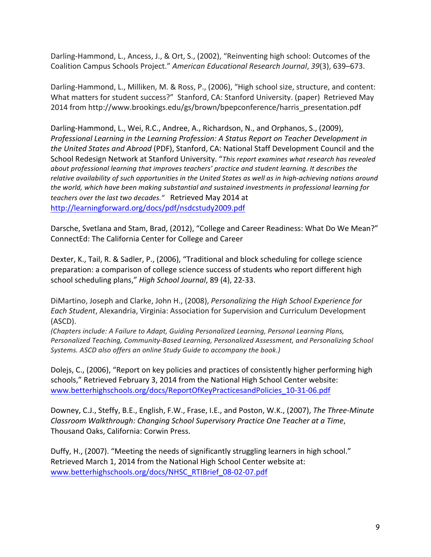Darling-Hammond, L., Ancess, J., & Ort, S., (2002), "Reinventing high school: Outcomes of the Coalition!Campus!Schools!Project."!*American%Educational%Research%Journal*,!*39*(3),!639–673.

Darling-Hammond, L., Milliken, M. & Ross, P., (2006), "High school size, structure, and content: What matters for student success?" Stanford, CA: Stanford University. (paper) Retrieved May 2014 from http://www.brookings.edu/gs/brown/bpepconference/harris\_presentation.pdf

Darling-Hammond, L., Wei, R.C., Andree, A., Richardson, N., and Orphanos, S., (2009), Professional Learning in the Learning Profession: A Status Report on Teacher Development in *the United States and Abroad* (PDF), Stanford, CA: National Staff Development Council and the School Redesign Network at Stanford University. "This report examines what research has revealed about professional learning that improves teachers' practice and student learning. It describes the relative availability of such opportunities in the United States as well as in high-achieving nations around the world, which have been making substantial and sustained investments in professional learning for teachers over the last two decades." Retrieved May 2014 at http://learningforward.org/docs/pdf/nsdcstudy2009.pdf

Darsche, Svetlana and Stam, Brad, (2012), "College and Career Readiness: What Do We Mean?" ConnectEd: The California Center for College and Career

Dexter, K., Tail, R. & Sadler, P., (2006), "Traditional and block scheduling for college science preparation: a comparison of college science success of students who report different high school scheduling plans," *High School Journal*, 89 (4), 22-33.

DiMartino, Joseph and Clarke, John H., (2008), *Personalizing the High School Experience for Each Student*, Alexandria, Virginia: Association for Supervision and Curriculum Development (ASCD).

*(Chapters%include:%A%Failure%to%Adapt,%Guiding%Personalized%Learning,%Personal%Learning%Plans,%* Personalized Teaching, Community-Based Learning, Personalized Assessment, and Personalizing School Systems. ASCD also offers an online Study Guide to accompany the book.)

Dolejs, C., (2006), "Report on key policies and practices of consistently higher performing high schools," Retrieved February 3, 2014 from the National High School Center website: www.betterhighschools.org/docs/ReportOfKeyPracticesandPolicies\_10-31-06.pdf

Downey, C.J., Steffy, B.E., English, F.W., Frase, I.E., and Poston, W.K., (2007), *The Three-Minute Classroom%Walkthrough:%Changing%School%Supervisory%Practice%One%Teacher%at%a%Time*,! Thousand Oaks, California: Corwin Press.

Duffy, H., (2007). "Meeting the needs of significantly struggling learners in high school." Retrieved March 1, 2014 from the National High School Center website at: www.betterhighschools.org/docs/NHSC\_RTIBrief\_08-02-07.pdf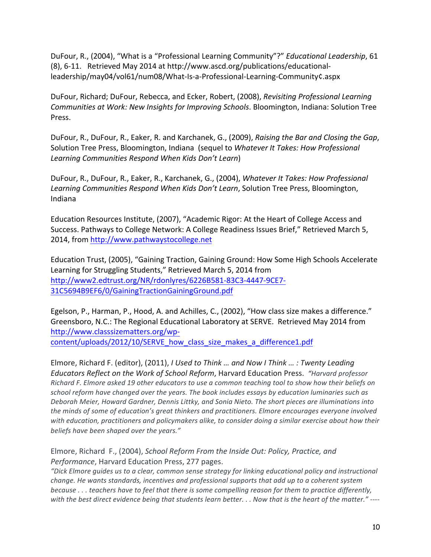DuFour, R., (2004), "What is a "Professional Learning Community"?" *Educational Leadership*, 61 (8), 6-11. Retrieved May 2014 at http://www.ascd.org/publications/educationalleadership/may04/vol61/num08/What-Is-a-Professional-Learning-Community¢.aspx

DuFour, Richard; DuFour, Rebecca, and Ecker, Robert, (2008), *Revisiting Professional Learning Communities at Work: New Insights for Improving Schools*. Bloomington, Indiana: Solution Tree Press.

DuFour, R., DuFour, R., Eaker, R. and Karchanek, G., (2009), *Raising the Bar and Closing the Gap*, Solution Tree Press, Bloomington, Indiana (sequel to *Whatever It Takes: How Professional* Learning Communities Respond When Kids Don't Learn)

DuFour, R., DuFour, R., Eaker, R., Karchanek, G., (2004), *Whatever It Takes: How Professional* Learning Communities Respond When Kids Don't Learn, Solution Tree Press, Bloomington, Indiana!

Education Resources Institute, (2007), "Academic Rigor: At the Heart of College Access and Success. Pathways to College Network: A College Readiness Issues Brief," Retrieved March 5, 2014, from http://www.pathwaystocollege.net

Education Trust, (2005), "Gaining Traction, Gaining Ground: How Some High Schools Accelerate Learning for Struggling Students," Retrieved March 5, 2014 from http://www2.edtrust.org/NR/rdonlyres/6226B581-83C3-4447-9CE7-31C5694B9EF6/0/GainingTractionGainingGround.pdf

Egelson, P., Harman, P., Hood, A. and Achilles, C., (2002), "How class size makes a difference." Greensboro, N.C.: The Regional Educational Laboratory at SERVE. Retrieved May 2014 from http://www.classsizematters.org/wp-

content/uploads/2012/10/SERVE\_how\_class\_size\_makes\_a\_difference1.pdf

Elmore, Richard F. (editor), (2011), *I Used to Think … and Now I Think … : Twenty Leading* Educators Reflect on the Work of School Reform, Harvard Education Press. "Harvard professor *Richard%F.%Elmore%asked%19%other%educators%to%use%a%common%teaching%tool%to%show%how%their%beliefs%on%*  $s$ chool reform have changed over the years. The book includes essays by education luminaries such as *Deborah%Meier,%Howard%Gardner,%Dennis%Littky,%and%Sonia%Nieto.%The%short%pieces%are%illuminations%into%* the minds of some of education's great thinkers and practitioners. Elmore encourages everyone involved with education, practitioners and policymakers alike, to consider doing a similar exercise about how their beliefs have been shaped over the years."

Elmore, Richard F., (2004), *School Reform From the Inside Out: Policy, Practice, and Performance*, Harvard Education Press, 277 pages.

*"Dick%Elmore%guides%us%to%a%clear,%common%sense%strategy%for%linking%educational%policy%and%instructional%* change. He wants standards, incentives and professional supports that add up to a coherent system *because ... teachers have to feel that there is some compelling reason for them to practice differently, with the best direct evidence being that students learn better. . . Now that is the heart of the matter." ----*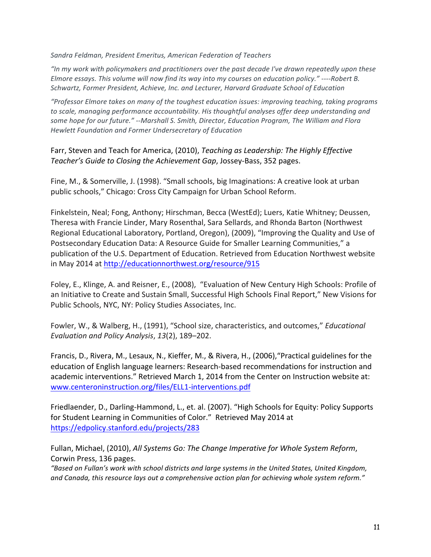*Sandra%Feldman,%President%Emeritus,%American%Federation%of%Teachers*

*"In%my%work%with%policymakers%and%practitioners%over%the%past%decade%I've%drawn%repeatedly%upon%these% Elmore essays. This volume will now find its way into my courses on education policy." ----Robert B. Schwartz,%Former%President,%Achieve,%Inc.%and%Lecturer,%Harvard%Graduate%School%of%Education*

*"Professor%Elmore%takes%on%many%of%the%toughest%education%issues:%improving%teaching,%taking%programs%* to scale, managing performance accountability. His thoughtful analyses offer deep understanding and some hope for our future." *--Marshall S. Smith, Director, Education Program, The William and Flora Hewlett%Foundation%and%Former%Undersecretary%of%Education*

Farr, Steven and Teach for America, (2010), *Teaching as Leadership: The Highly Effective Teacher's Guide to Closing the Achievement Gap, Jossey-Bass, 352 pages.* 

Fine, M., & Somerville, J. (1998). "Small schools, big Imaginations: A creative look at urban public schools," Chicago: Cross City Campaign for Urban School Reform.

Finkelstein, Neal; Fong, Anthony; Hirschman, Becca (WestEd); Luers, Katie Whitney; Deussen, Theresa with Francie Linder, Mary Rosenthal, Sara Sellards, and Rhonda Barton (Northwest Regional Educational Laboratory, Portland, Oregon), (2009), "Improving the Quality and Use of Postsecondary Education Data: A Resource Guide for Smaller Learning Communities," a publication of the U.S. Department of Education. Retrieved from Education Northwest website in May 2014 at http://educationnorthwest.org/resource/915

Foley, E., Klinge, A. and Reisner, E., (2008), "Evaluation of New Century High Schools: Profile of an Initiative to Create and Sustain Small, Successful High Schools Final Report," New Visions for Public Schools, NYC, NY: Policy Studies Associates, Inc.

Fowler, W., & Walberg, H., (1991), "School size, characteristics, and outcomes," *Educational Evaluation and Policy Analysis, 13(2), 189-202.* 

Francis, D., Rivera, M., Lesaux, N., Kieffer, M., & Rivera, H., (2006), "Practical guidelines for the education of English language learners: Research-based recommendations for instruction and academic interventions." Retrieved March 1, 2014 from the Center on Instruction website at: www.centeroninstruction.org/files/ELL1-interventions.pdf

Friedlaender, D., Darling-Hammond, L., et. al. (2007). "High Schools for Equity: Policy Supports for Student Learning in Communities of Color." Retrieved May 2014 at https://edpolicy.stanford.edu/projects/283

Fullan, Michael, (2010), *All Systems Go: The Change Imperative for Whole System Reform*, Corwin Press, 136 pages.

*"Based%on%Fullan's%work%with%school%districts%and%large%systems%in%the%United%States,%United%Kingdom,%* and Canada, this resource lays out a comprehensive action plan for achieving whole system reform."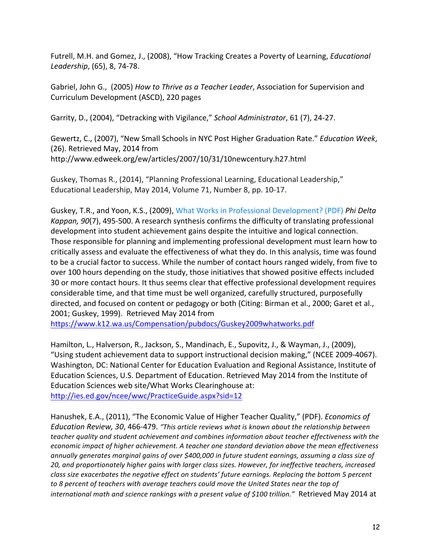Futrell, M.H. and Gomez, J., (2008), "How Tracking Creates a Poverty of Learning, *Educational Leadership*, (65), 8, 74-78.

Gabriel, John G., (2005) *How to Thrive as a Teacher Leader*, Association for Supervision and Curriculum Development (ASCD), 220 pages

Garrity, D., (2004), "Detracking with Vigilance," School Administrator, 61 (7), 24-27.

Gewertz, C., (2007), "New Small Schools in NYC Post Higher Graduation Rate." *Education Week*, (26). Retrieved May, 2014 from http://www.edweek.org/ew/articles/2007/10/31/10newcentury.h27.html

Guskey, Thomas R., (2014), "Planning Professional Learning, Educational Leadership," Educational Leadership, May 2014, Volume 71, Number 8, pp. 10-17.

Guskey, T.R., and Yoon, K.S., (2009), What Works in Professional Development? (PDF) *Phi Delta Kappan, 90*(7), 495-500. A research synthesis confirms the difficulty of translating professional development into student achievement gains despite the intuitive and logical connection. Those responsible for planning and implementing professional development must learn how to critically assess and evaluate the effectiveness of what they do. In this analysis, time was found to be a crucial factor to success. While the number of contact hours ranged widely, from five to over 100 hours depending on the study, those initiatives that showed positive effects included 30 or more contact hours. It thus seems clear that effective professional development requires considerable time, and that time must be well organized, carefully structured, purposefully directed, and focused on content or pedagogy or both (Citing: Birman et al., 2000; Garet et al., 2001; Guskey, 1999). Retrieved May 2014 from

https://www.k12.wa.us/Compensation/pubdocs/Guskey2009whatworks.pdf

Hamilton, L., Halverson, R., Jackson, S., Mandinach, E., Supovitz, J., & Wayman, J., (2009), "Using student achievement data to support instructional decision making," (NCEE 2009-4067). Washington, DC: National Center for Education Evaluation and Regional Assistance, Institute of Education Sciences, U.S. Department of Education. Retrieved May 2014 from the Institute of Education Sciences web site/What Works Clearinghouse at: http://ies.ed.gov/ncee/wwc/PracticeGuide.aspx?sid=12

Hanushek, E.A., (2011), "The Economic Value of Higher Teacher Quality," (PDF). *Economics of Education Review, 30, 466-479. "This article reviews what is known about the relationship between* teacher quality and student achievement and combines information about teacher effectiveness with the economic impact of higher achievement. A teacher one standard deviation above the mean effectiveness annually generates marginal gains of over \$400,000 in future student earnings, assuming a class size of *20,%and%proportionately%higher%gains%with%larger%class%sizes.%However,%for%ineffective%teachers,%increased%* class size exacerbates the negative effect on students' future earnings. Replacing the bottom 5 percent to 8 percent of teachers with average teachers could move the United States near the top of *international math and science rankings with a present value of \$100 trillion."* Retrieved May 2014 at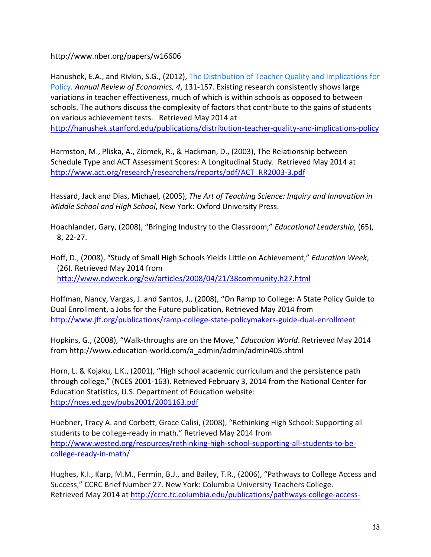http://www.nber.org/papers/w16606

Hanushek, E.A., and Rivkin, S.G., (2012), The Distribution of Teacher Quality and Implications for Policy. Annual *Review of Economics, 4,* 131-157. Existing research consistently shows large variations in teacher effectiveness, much of which is within schools as opposed to between schools. The authors discuss the complexity of factors that contribute to the gains of students on various achievement tests. Retrieved May 2014 at http://hanushek.stanford.edu/publications/distribution-teacher-quality-and-implications-policy

Harmston, M., Pliska, A., Ziomek, R., & Hackman, D., (2003), The Relationship between Schedule Type and ACT Assessment Scores: A Longitudinal Study. Retrieved May 2014 at http://www.act.org/research/researchers/reports/pdf/ACT\_RR2003-3.pdf

Hassard, Jack and Dias, Michael, (2005), *The Art of Teaching Science: Inquiry and Innovation in Middle School and High School, New York: Oxford University Press.* 

Hoachlander, Gary, (2008), "Bringing Industry to the Classroom," *Educational Leadership*, (65),  $8, 22-27.$ 

Hoff, D., (2008), "Study of Small High Schools Yields Little on Achievement," *Education Week*, (26). Retrieved May 2014 from http://www.edweek.org/ew/articles/2008/04/21/38community.h27.html

Hoffman, Nancy, Vargas, J. and Santos, J., (2008), "On Ramp to College: A State Policy Guide to Dual Enrollment, a Jobs for the Future publication, Retrieved May 2014 from http://www.jff.org/publications/ramp-college-state-policymakers-guide-dual-enrollment

Hopkins, G., (2008), "Walk-throughs are on the Move," *Education World*. Retrieved May 2014 from http://www.education-world.com/a\_admin/admin/admin405.shtml

Horn, L. & Kojaku, L.K., (2001), "High school academic curriculum and the persistence path through college," (NCES 2001-163). Retrieved February 3, 2014 from the National Center for Education Statistics, U.S. Department of Education website: http://nces.ed.gov/pubs2001/2001163.pdf

Huebner, Tracy A. and Corbett, Grace Calisi, (2008), "Rethinking High School: Supporting all students to be college-ready in math." Retrieved May 2014 from http://www.wested.org/resources/rethinking-high-school-supporting-all-students-to-becollege-ready-in-math/

Hughes, K.I., Karp, M.M., Fermin, B.J., and Bailey, T.R., (2006), "Pathways to College Access and Success," CCRC Brief Number 27. New York: Columbia University Teachers College. Retrieved May 2014 at http://ccrc.tc.columbia.edu/publications/pathways-college-access-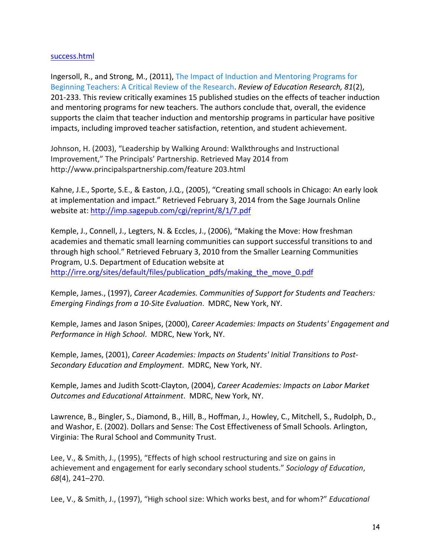## success.html

Ingersoll, R., and Strong, M., (2011), The Impact of Induction and Mentoring Programs for Beginning Teachers: A Critical Review of the Research. *Review of Education Research, 81*(2), 201-233. This review critically examines 15 published studies on the effects of teacher induction and mentoring programs for new teachers. The authors conclude that, overall, the evidence supports the claim that teacher induction and mentorship programs in particular have positive impacts, including improved teacher satisfaction, retention, and student achievement.

Johnson, H. (2003), "Leadership by Walking Around: Walkthroughs and Instructional Improvement," The Principals' Partnership. Retrieved May 2014 from http://www.principalspartnership.com/feature 203.html

Kahne, J.E., Sporte, S.E., & Easton, J.Q., (2005), "Creating small schools in Chicago: An early look at implementation and impact." Retrieved February 3, 2014 from the Sage Journals Online website at: http://imp.sagepub.com/cgi/reprint/8/1/7.pdf

Kemple, J., Connell, J., Legters, N. & Eccles, J., (2006), "Making the Move: How freshman academies and thematic small learning communities can support successful transitions to and through high school." Retrieved February 3, 2010 from the Smaller Learning Communities Program, U.S. Department of Education website at http://irre.org/sites/default/files/publication\_pdfs/making\_the\_move\_0.pdf

Kemple, James., (1997), *Career Academies. Communities of Support for Students and Teachers: Emerging Findings from a 10-Site Evaluation. MDRC, New York, NY.* 

Kemple, James and Jason Snipes, (2000), *Career Academies: Impacts on Students' Engagement and Performance in High School. MDRC, New York, NY.* 

Kemple, James, (2001), *Career Academies: Impacts on Students' Initial Transitions to Post-Secondary Education and Employment. MDRC, New York, NY.* 

Kemple, James and Judith Scott-Clayton, (2004), *Career Academies: Impacts on Labor Market Outcomes and Educational Attainment. MDRC, New York, NY.* 

Lawrence, B., Bingler, S., Diamond, B., Hill, B., Hoffman, J., Howley, C., Mitchell, S., Rudolph, D., and Washor, E. (2002). Dollars and Sense: The Cost Effectiveness of Small Schools. Arlington, Virginia: The Rural School and Community Trust.

Lee, V., & Smith, J., (1995), "Effects of high school restructuring and size on gains in achievement and engagement for early secondary school students." Sociology of Education, *68*(4),!241–270.

Lee, V., & Smith, J., (1997), "High school size: Which works best, and for whom?" *Educational*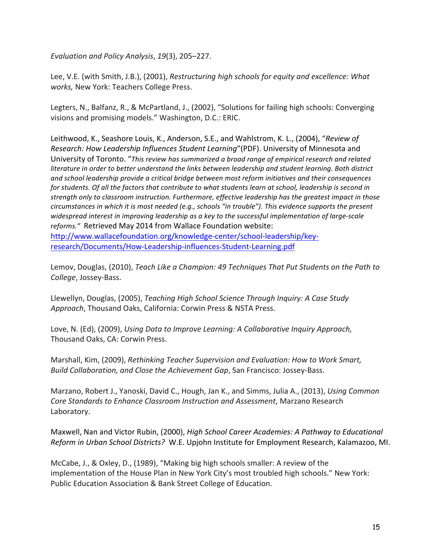*Evaluation and Policy Analysis, 19(3), 205–227.* 

Lee, V.E. (with Smith, J.B.), (2001), *Restructuring high schools for equity and excellence: What works*, New York: Teachers College Press.

Legters, N., Balfanz, R., & McPartland, J., (2002), "Solutions for failing high schools: Converging visions and promising models." Washington, D.C.: ERIC.

Leithwood, K., Seashore Louis, K., Anderson, S.E., and Wahlstrom, K. L., (2004), "Review of *Research: How Leadership Influences Student Learning"* (PDF). University of Minnesota and University of Toronto. "This review has summarized a broad range of empirical research and related *literature in order to better understand the links between leadership and student learning. Both district* and school leadership provide a critical bridge between most reform initiatives and their consequences for students. Of all the factors that contribute to what students learn at school, leadership is second in strength only to classroom instruction. Furthermore, effective leadership has the greatest impact in those *circumstances in which it is most needed (e.g., schools "in trouble"). This evidence supports the present* widespread interest in improving leadership as a key to the successful implementation of large-scale reforms." Retrieved May 2014 from Wallace Foundation website: http://www.wallacefoundation.org/knowledge-center/school-leadership/key-

research/Documents/How-Leadership-influences-Student-Learning.pdf

Lemov, Douglas, (2010), *Teach Like a Champion: 49 Techniques That Put Students on the Path to* College, Jossey-Bass.

Llewellyn, Douglas, (2005), *Teaching High School Science Through Inquiry: A Case Study* Approach, Thousand Oaks, California: Corwin Press & NSTA Press.

Love, N. (Ed), (2009), *Using Data to Improve Learning: A Collaborative Inquiry Approach,* Thousand Oaks, CA: Corwin Press.

Marshall, Kim, (2009), *Rethinking Teacher Supervision and Evaluation: How to Work Smart, Build Collaboration, and Close the Achievement Gap, San Francisco: Jossey-Bass.* 

Marzano, Robert J., Yanoski, David C., Hough, Jan K., and Simms, Julia A., (2013), *Using Common Core%Standards%to%Enhance%Classroom%Instruction%and%Assessment*,!Marzano!Research! Laboratory.

Maxwell, Nan and Victor Rubin, (2000), *High School Career Academies: A Pathway to Educational Reform in Urban School Districts?* W.E. Upjohn Institute for Employment Research, Kalamazoo, MI.

McCabe, J., & Oxley, D., (1989), "Making big high schools smaller: A review of the implementation of the House Plan in New York City's most troubled high schools." New York: Public Education Association & Bank Street College of Education.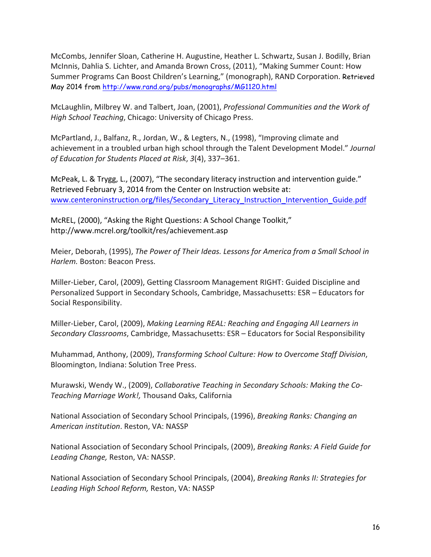McCombs, Jennifer Sloan, Catherine H. Augustine, Heather L. Schwartz, Susan J. Bodilly, Brian McInnis, Dahlia S. Lichter, and Amanda Brown Cross, (2011), "Making Summer Count: How Summer Programs Can Boost Children's Learning," (monograph), RAND Corporation. Retrieved May 2014 from http://www.rand.org/pubs/monographs/MG1120.html

McLaughlin, Milbrey W. and Talbert, Joan, (2001), *Professional Communities and the Work of High School Teaching, Chicago: University of Chicago Press.* 

McPartland, J., Balfanz, R., Jordan, W., & Legters, N., (1998), "Improving climate and achievement in a troubled urban high school through the Talent Development Model." Journal *of%Education%for%Students%Placed%at%Risk*,!*3*(4),!337–361.

McPeak, L. & Trygg, L., (2007), "The secondary literacy instruction and intervention guide." Retrieved February 3, 2014 from the Center on Instruction website at: www.centeroninstruction.org/files/Secondary Literacy Instruction Intervention Guide.pdf

McREL, (2000), "Asking the Right Questions: A School Change Toolkit," http://www.mcrel.org/toolkit/res/achievement.asp

Meier, Deborah, (1995), *The Power of Their Ideas. Lessons for America from a Small School in Harlem.* Boston: Beacon Press.

Miller-Lieber, Carol, (2009), Getting Classroom Management RIGHT: Guided Discipline and Personalized Support in Secondary Schools, Cambridge, Massachusetts: ESR – Educators for Social Responsibility.

Miller-Lieber, Carol, (2009), *Making Learning REAL: Reaching and Engaging All Learners in Secondary Classrooms*, Cambridge, Massachusetts: ESR – Educators for Social Responsibility

Muhammad, Anthony, (2009), *Transforming School Culture: How to Overcome Staff Division*, Bloomington, Indiana: Solution Tree Press.

Murawski, Wendy W., (2009), *Collaborative Teaching in Secondary Schools: Making the Co-Teaching%Marriage%Work!,* Thousand!Oaks,!California

National Association of Secondary School Principals, (1996), *Breaking Ranks: Changing an American institution*. Reston, VA: NASSP

National Association of Secondary School Principals, (2009), *Breaking Ranks: A Field Guide for* Leading Change, Reston, VA: NASSP.

National Association of Secondary School Principals, (2004), *Breaking Ranks II: Strategies for* Leading High School Reform, Reston, VA: NASSP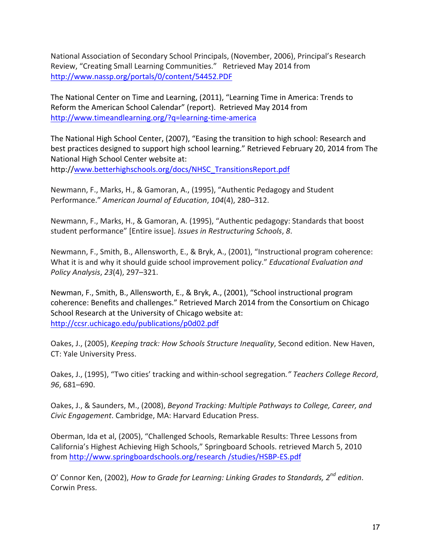National Association of Secondary School Principals, (November, 2006), Principal's Research Review, "Creating Small Learning Communities." Retrieved May 2014 from http://www.nassp.org/portals/0/content/54452.PDF

The National Center on Time and Learning, (2011), "Learning Time in America: Trends to Reform the American School Calendar" (report). Retrieved May 2014 from http://www.timeandlearning.org/?q=learning-time-america

The National High School Center, (2007), "Easing the transition to high school: Research and best practices designed to support high school learning." Retrieved February 20, 2014 from The National High School Center website at: http://www.betterhighschools.org/docs/NHSC\_TransitionsReport.pdf

Newmann, F., Marks, H., & Gamoran, A., (1995), "Authentic Pedagogy and Student Performance." American Journal of Education, 104(4), 280-312.

Newmann, F., Marks, H., & Gamoran, A. (1995), "Authentic pedagogy: Standards that boost student performance" [Entire issue]. *Issues in Restructuring Schools*, 8.

Newmann, F., Smith, B., Allensworth, E., & Bryk, A., (2001), "Instructional program coherence: What it is and why it should guide school improvement policy." *Educational Evaluation and Policy Analysis, 23(4), 297–321.* 

Newman, F., Smith, B., Allensworth, E., & Bryk, A., (2001), "School instructional program coherence: Benefits and challenges." Retrieved March 2014 from the Consortium on Chicago School Research at the University of Chicago website at: http://ccsr.uchicago.edu/publications/p0d02.pdf

Oakes, J., (2005), *Keeping track: How Schools Structure Inequality*, Second edition. New Haven, CT: Yale University Press.

Oakes, J., (1995), "Two cities' tracking and within-school segregation." Teachers College Record, *96*,!681–690.

Oakes, J., & Saunders, M., (2008), *Beyond Tracking: Multiple Pathways to College, Career, and Civic Engagement*. Cambridge, MA: Harvard Education Press.

Oberman, Ida et al, (2005), "Challenged Schools, Remarkable Results: Three Lessons from California's Highest Achieving High Schools," Springboard Schools. retrieved March 5, 2010 from http://www.springboardschools.org/research /studies/HSBP-ES.pdf

O' Connor Ken, (2002), *How to Grade for Learning: Linking Grades to Standards. 2<sup>nd</sup> edition.* Corwin Press.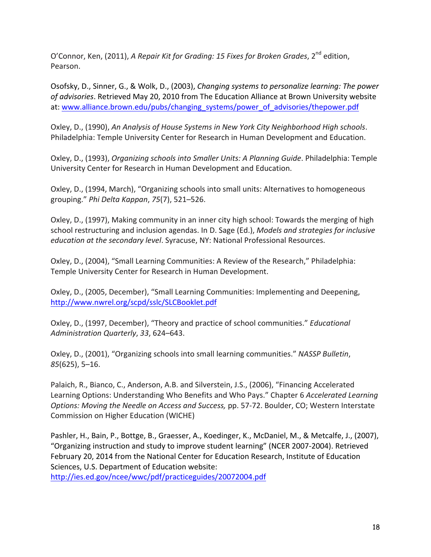O'Connor, Ken, (2011), *A Repair Kit for Grading: 15 Fixes for Broken Grades*, 2<sup>nd</sup> edition, Pearson.

Osofsky, D., Sinner, G., & Wolk, D., (2003), *Changing systems to personalize learning: The power* of *advisories*. Retrieved May 20, 2010 from The Education Alliance at Brown University website at: www.alliance.brown.edu/pubs/changing\_systems/power\_of\_advisories/thepower.pdf

Oxley, D., (1990), An Analysis of House Systems in New York City Neighborhood High schools. Philadelphia: Temple University Center for Research in Human Development and Education.

Oxley, D., (1993), *Organizing schools into Smaller Units: A Planning Guide*. Philadelphia: Temple University Center for Research in Human Development and Education.

Oxley, D., (1994, March), "Organizing schools into small units: Alternatives to homogeneous grouping." *Phi%Delta%Kappan*,!*75*(7),!521–526.

Oxley, D., (1997), Making community in an inner city high school: Towards the merging of high school restructuring and inclusion agendas. In D. Sage (Ed.), *Models and strategies for inclusive education at the secondary level*. Syracuse, NY: National Professional Resources.

Oxley, D., (2004), "Small Learning Communities: A Review of the Research," Philadelphia: Temple University Center for Research in Human Development.

Oxley, D., (2005, December), "Small Learning Communities: Implementing and Deepening, http://www.nwrel.org/scpd/sslc/SLCBooklet.pdf

Oxley, D., (1997, December), "Theory and practice of school communities." *Educational* Administration Quarterly, 33, 624–643.

Oxley, D., (2001), "Organizing schools into small learning communities." NASSP Bulletin, 85(625), 5–16.

Palaich, R., Bianco, C., Anderson, A.B. and Silverstein, J.S., (2006), "Financing Accelerated Learning Options: Understanding Who Benefits and Who Pays." Chapter 6 *Accelerated Learning Options: Moving the Needle on Access and Success, pp. 57-72. Boulder, CO; Western Interstate* Commission on Higher Education (WICHE)

Pashler, H., Bain, P., Bottge, B., Graesser, A., Koedinger, K., McDaniel, M., & Metcalfe, J., (2007), "Organizing instruction and study to improve student learning" (NCER 2007-2004). Retrieved February 20, 2014 from the National Center for Education Research, Institute of Education Sciences, U.S. Department of Education website: http://ies.ed.gov/ncee/wwc/pdf/practiceguides/20072004.pdf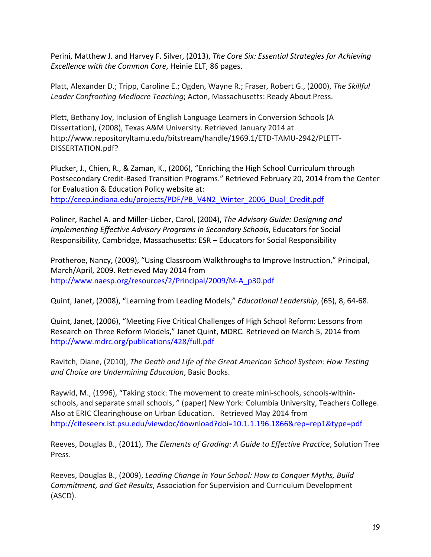Perini, Matthew J. and Harvey F. Silver, (2013), *The Core Six: Essential Strategies for Achieving Excellence with the Common Core*, Heinie ELT, 86 pages.

Platt, Alexander D.; Tripp, Caroline E.; Ogden, Wayne R.; Fraser, Robert G., (2000), *The Skillful* Leader Confronting Mediocre Teaching; Acton, Massachusetts: Ready About Press.

Plett, Bethany Joy, Inclusion of English Language Learners in Conversion Schools (A Dissertation), (2008), Texas A&M University. Retrieved January 2014 at http://www.repositoryltamu.edu/bitstream/handle/1969.1/ETD-TAMU-2942/PLETT-DISSERTATION.pdf?!

Plucker, J., Chien, R., & Zaman, K., (2006), "Enriching the High School Curriculum through Postsecondary Credit-Based Transition Programs." Retrieved February 20, 2014 from the Center for Evaluation & Education Policy website at:

http://ceep.indiana.edu/projects/PDF/PB\_V4N2\_Winter\_2006\_Dual\_Credit.pdf

Poliner, Rachel A. and Miller-Lieber, Carol, (2004), *The Advisory Guide: Designing and Implementing Effective Advisory Programs in Secondary Schools*, Educators for Social Responsibility, Cambridge, Massachusetts: ESR – Educators for Social Responsibility

Protheroe, Nancy, (2009), "Using Classroom Walkthroughs to Improve Instruction," Principal, March/April, 2009. Retrieved May 2014 from http://www.naesp.org/resources/2/Principal/2009/M-A\_p30.pdf

Quint, Janet, (2008), "Learning from Leading Models," *Educational Leadership*, (65), 8, 64-68.

Quint, Janet, (2006), "Meeting Five Critical Challenges of High School Reform: Lessons from Research on Three Reform Models," Janet Quint, MDRC. Retrieved on March 5, 2014 from http://www.mdrc.org/publications/428/full.pdf

Ravitch, Diane, (2010), *The Death and Life of the Great American School System: How Testing and%Choice%are%Undermining%Education*,!Basic!Books.

Raywid, M., (1996), "Taking stock: The movement to create mini-schools, schools-withinschools, and separate small schools, " (paper) New York: Columbia University, Teachers College. Also at ERIC Clearinghouse on Urban Education. Retrieved May 2014 from http://citeseerx.ist.psu.edu/viewdoc/download?doi=10.1.1.196.1866&rep=rep1&type=pdf

Reeves, Douglas B., (2011), *The Elements of Grading: A Guide to Effective Practice*, Solution Tree Press.

Reeves, Douglas B., (2009), *Leading Change in Your School: How to Conquer Myths, Build Commitment, and Get Results, Association for Supervision and Curriculum Development* (ASCD).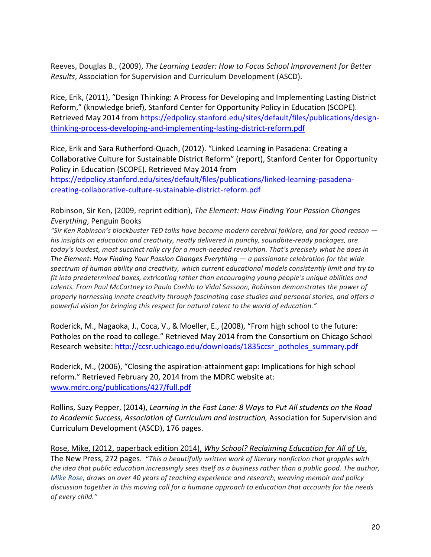Reeves, Douglas B., (2009), *The Learning Leader: How to Focus School Improvement for Better Results*, Association for Supervision and Curriculum Development (ASCD).

Rice, Erik, (2011), "Design Thinking: A Process for Developing and Implementing Lasting District Reform," (knowledge brief), Stanford Center for Opportunity Policy in Education (SCOPE). Retrieved May 2014 from https://edpolicy.stanford.edu/sites/default/files/publications/designthinking-process-developing-and-implementing-lasting-district-reform.pdf

Rice, Erik and Sara Rutherford-Quach, (2012). "Linked Learning in Pasadena: Creating a Collaborative Culture for Sustainable District Reform" (report), Stanford Center for Opportunity Policy in Education (SCOPE). Retrieved May 2014 from

https://edpolicy.stanford.edu/sites/default/files/publications/linked-learning-pasadenacreating-collaborative-culture-sustainable-district-reform.pdf

Robinson, Sir Ken, (2009, reprint edition), *The Element: How Finding Your Passion Changes Everything*, Penguin Books

*"Sir%Ken%Robinson's%blockbuster%TED%talks%have%become%modern%cerebral%folklore,%and%for%good%reason%* his insights on education and creativity, neatly delivered in punchy, soundbite-ready packages, are *today's loudest, most succinct rally cry for a much-needed revolution. That's precisely what he does in The%Element:%How%Finding%Your%Passion%Changes%Everything — a%passionate%celebration%for%the%wide%* spectrum of human ability and creativity, which current educational models consistently limit and try to *fit into predetermined boxes, extricating rather than encouraging young people's unique abilities and* talents. From Paul McCartney to Paulo Coehlo to Vidal Sassoon, Robinson demonstrates the power of *properly%harnessing%innate%creativity%through%fascinating%case%studies%and%personal%stories,%and%offers%a%* powerful vision for bringing this respect for natural talent to the world of education."

Roderick, M., Nagaoka, J., Coca, V., & Moeller, E., (2008), "From high school to the future: Potholes on the road to college." Retrieved May 2014 from the Consortium on Chicago School Research website: http://ccsr.uchicago.edu/downloads/1835ccsr\_potholes\_summary.pdf

Roderick, M., (2006), "Closing the aspiration-attainment gap: Implications for high school reform." Retrieved February 20, 2014 from the MDRC website at: www.mdrc.org/publications/427/full.pdf

Rollins, Suzy Pepper, (2014), Learning in the Fast Lane: 8 Ways to Put All students on the Road to Academic Success, Association of Curriculum and Instruction, Association for Supervision and Curriculum Development (ASCD), 176 pages.

Rose, Mike, (2012, paperback edition 2014), *Why School? Reclaiming Education for All of Us*, The New Press, 272 pages. "This a beautifully written work of literary nonfiction that grapples with

*the idea that public education increasingly sees itself as a business rather than a public good. The author, Mike Rose, draws on over 40 years of teaching experience and research, weaving memoir and policy* discussion together in this moving call for a humane approach to education that accounts for the needs of every child."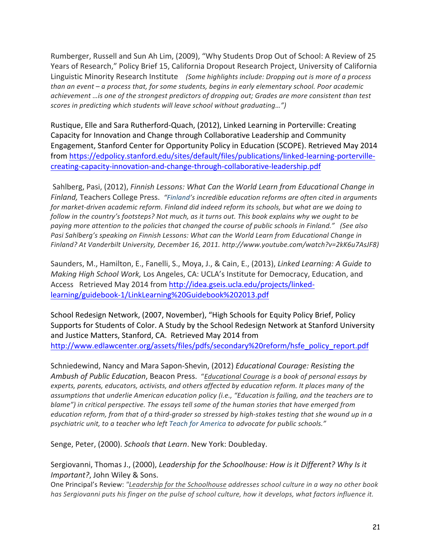Rumberger, Russell and Sun Ah Lim, (2009), "Why Students Drop Out of School: A Review of 25 Years of Research," Policy Brief 15, California Dropout Research Project, University of California Linguistic Minority Research Institute (Some highlights include: Dropping out is more of a process *than%an%event%– a%process%that,%for%some%students,%begins%in%early%elementary%school.%Poor%academic%* achievement …is one of the strongest predictors of dropping out; Grades are more consistent than test *scores in predicting which students will leave school without graduating...")* 

Rustique, Elle and Sara Rutherford-Quach, (2012), Linked Learning in Porterville: Creating Capacity for Innovation and Change through Collaborative Leadership and Community Engagement, Stanford Center for Opportunity Policy in Education (SCOPE). Retrieved May 2014 from https://edpolicy.stanford.edu/sites/default/files/publications/linked-learning-portervillecreating-capacity-innovation-and-change-through-collaborative-leadership.pdf

Sahlberg, Pasi, (2012), *Finnish Lessons: What Can the World Learn from Educational Change in* Finland, Teachers College Press. "Finland's incredible education reforms are often cited in arguments for market-driven academic reform. Finland did indeed reform its schools, but what are we doing to follow in the country's footsteps? Not much, as it turns out. This book explains why we ought to be paying more attention to the policies that changed the course of public schools in Finland." (See also Pasi Sahlberg's speaking on Finnish Lessons: What can the World Learn from Educational Change in *Finland?%At%Vanderbilt%University,%December 16,%2011.%http://www.youtube.com/watch?v=2kK6u7AsJF8)*

Saunders, M., Hamilton, E., Fanelli, S., Moya, J., & Cain, E., (2013), *Linked Learning: A Guide to Making High School Work, Los Angeles, CA: UCLA's Institute for Democracy, Education, and* Access Retrieved May 2014 from http://idea.gseis.ucla.edu/projects/linkedlearning/guidebook[1/LinkLearning%20Guidebook%202013.pdf

School Redesign Network, (2007, November), "High Schools for Equity Policy Brief, Policy Supports for Students of Color. A Study by the School Redesign Network at Stanford University and Justice Matters, Stanford, CA. Retrieved May 2014 from http://www.edlawcenter.org/assets/files/pdfs/secondary%20reform/hsfe\_policy\_report.pdf

Schniedewind, Nancy and Mara Sapon-Shevin, (2012) *Educational Courage: Resisting the Ambush%of%Public%Education*,!Beacon!Press. "*Educational%Courage is%a%book%of%personal%essays%by% experts,%parents,%educators,%activists,%and%others%affected%by%education%reform.%It%places%many%of%the%* assumptions that underlie American education policy (i.e., "Education is failing, and the teachers are to blame") in critical perspective. The essays tell some of the human stories that have emerged from *education reform, from that of a third-grader so stressed by high-stakes testing that she wound up in a psychiatric%unit,%to%a%teacher%who%left%Teach%for%America to%advocate%for%public%schools."*

Senge, Peter, (2000). Schools that Learn. New York: Doubleday.

Sergiovanni, Thomas J., (2000), *Leadership for the Schoolhouse: How is it Different? Why Is it Important?*, John Wiley & Sons.

One Principal's Review: "Leadership for the Schoolhouse addresses school culture in a way no other book has Sergiovanni puts his finger on the pulse of school culture, how it develops, what factors influence it.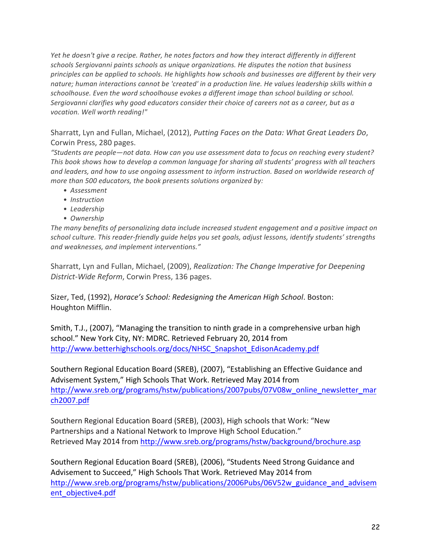*Yet he doesn't give a recipe. Rather, he notes factors and how they interact differently in different* schools Sergiovanni paints schools as unique organizations. He disputes the notion that business *principles can be applied to schools. He highlights how schools and businesses are different by their very nature;%human%interactions%cannot%be%'created'%in a%production%line.%He%values%leadership%skills%within%a%* schoolhouse. Even the word schoolhouse evokes a different image than school building or school. Sergiovanni clarifies why good educators consider their choice of careers not as a career, but as a *vocation. Well worth reading!"* 

Sharratt, Lyn and Fullan, Michael, (2012), *Putting Faces on the Data: What Great Leaders Do*, Corwin Press, 280 pages.

*"Students%are%people—not%data.%How%can%you%use%assessment%data%to%focus%on%reaching%every%student?% This book shows how to develop a common language for sharing all students' progress with all teachers* and leaders, and how to use ongoing assessment to inform instruction. Based on worldwide research of *more than 500 educators, the book presents solutions organized by:* 

- *Assessment*
- *Instruction*
- *Leadership*
- *Ownership*

The many benefits of personalizing data include increased student engagement and a positive impact on school culture. This reader-friendly quide helps you set goals, adjust lessons, identify students' strengths and weaknesses, and implement interventions."

Sharratt, Lyn and Fullan, Michael, (2009), *Realization: The Change Imperative for Deepening District-Wide Reform, Corwin Press, 136 pages.* 

Sizer, Ted, (1992), *Horace's School: Redesigning the American High School*. Boston: Houghton Mifflin.

Smith, T.J., (2007), "Managing the transition to ninth grade in a comprehensive urban high school." New York City, NY: MDRC. Retrieved February 20, 2014 from http://www.betterhighschools.org/docs/NHSC\_Snapshot\_EdisonAcademy.pdf

Southern Regional Education Board (SREB), (2007), "Establishing an Effective Guidance and Advisement System," High Schools That Work. Retrieved May 2014 from http://www.sreb.org/programs/hstw/publications/2007pubs/07V08w\_online\_newsletter\_mar ch2007.pdf

Southern Regional Education Board (SREB), (2003), High schools that Work: "New Partnerships and a National Network to Improve High School Education." Retrieved May 2014 from http://www.sreb.org/programs/hstw/background/brochure.asp

Southern Regional Education Board (SREB), (2006), "Students Need Strong Guidance and Advisement to Succeed," High Schools That Work. Retrieved May 2014 from http://www.sreb.org/programs/hstw/publications/2006Pubs/06V52w\_guidance\_and\_advisem ent\_objective4.pdf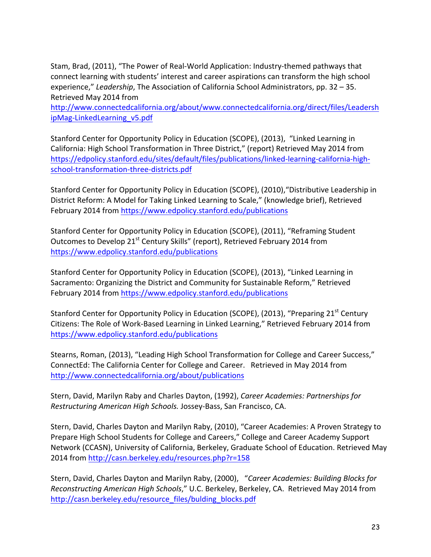Stam, Brad, (2011), "The Power of Real-World Application: Industry-themed pathways that connect learning with students' interest and career aspirations can transform the high school experience," Leadership, The Association of California School Administrators, pp. 32 – 35. Retrieved May 2014 from

http://www.connectedcalifornia.org/about/www.connectedcalifornia.org/direct/files/Leadersh ipMag-LinkedLearning\_v5.pdf

Stanford Center for Opportunity Policy in Education (SCOPE), (2013), "Linked Learning in California: High School Transformation in Three District," (report) Retrieved May 2014 from https://edpolicy.stanford.edu/sites/default/files/publications/linked-learning-california-highschool-transformation-three-districts.pdf

Stanford Center for Opportunity Policy in Education (SCOPE), (2010), "Distributive Leadership in District Reform: A Model for Taking Linked Learning to Scale," (knowledge brief), Retrieved February 2014 from https://www.edpolicy.stanford.edu/publications

Stanford Center for Opportunity Policy in Education (SCOPE), (2011), "Reframing Student Outcomes to Develop 21<sup>st</sup> Century Skills" (report), Retrieved February 2014 from https://www.edpolicy.stanford.edu/publications

Stanford Center for Opportunity Policy in Education (SCOPE), (2013), "Linked Learning in Sacramento: Organizing the District and Community for Sustainable Reform," Retrieved February 2014 from https://www.edpolicy.stanford.edu/publications

Stanford Center for Opportunity Policy in Education (SCOPE), (2013), "Preparing 21<sup>st</sup> Century Citizens: The Role of Work-Based Learning in Linked Learning," Retrieved February 2014 from https://www.edpolicy.stanford.edu/publications

Stearns, Roman, (2013), "Leading High School Transformation for College and Career Success," ConnectEd: The California Center for College and Career. Retrieved in May 2014 from http://www.connectedcalifornia.org/about/publications

Stern, David, Marilyn Raby and Charles Dayton, (1992), *Career Academies: Partnerships for Restructuring American High Schools. Jossey-Bass, San Francisco, CA.* 

Stern, David, Charles Dayton and Marilyn Raby, (2010), "Career Academies: A Proven Strategy to Prepare High School Students for College and Careers," College and Career Academy Support Network (CCASN), University of California, Berkeley, Graduate School of Education. Retrieved May 2014 from http://casn.berkeley.edu/resources.php?r=158

Stern, David, Charles Dayton and Marilyn Raby, (2000), "Career Academies: Building Blocks for *Reconstructing American High Schools," U.C. Berkeley, Berkeley, CA. Retrieved May 2014 from* http://casn.berkeley.edu/resource\_files/bulding\_blocks.pdf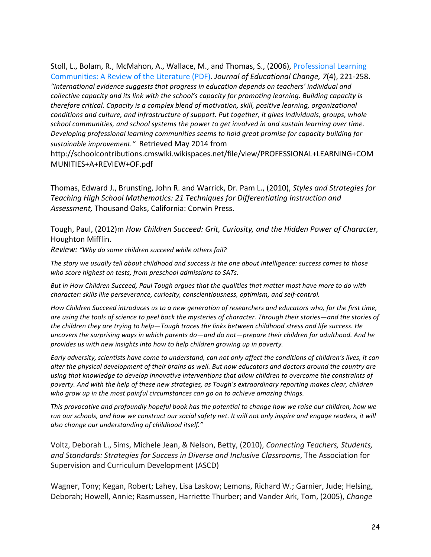Stoll, L., Bolam, R., McMahon, A., Wallace, M., and Thomas, S., (2006), Professional Learning Communities: A Review of the Literature (PDF). *Journal of Educational Change, 7*(4), 221-258. *"International%evidence%suggests%that%progress%in%education%depends%on%teachers'%individual%and%* collective capacity and its link with the school's capacity for promoting learning. Building capacity is *therefore critical. Capacity is a complex blend of motivation, skill, positive learning, organizational conditions%and%culture,%and%infrastructure%of%support.%Put%together,%it%gives%individuals,%groups,%whole%* school communities, and school systems the power to get involved in and sustain learning over time. *Developing%professional%learning%communities%seems%to%hold%great%promise%for%capacity%building%for%* sustainable improvement." Retrieved May 2014 from

http://schoolcontributions.cmswiki.wikispaces.net/file/view/PROFESSIONAL+LEARNING+COM MUNITIES+A+REVIEW+OF.pdf

Thomas, Edward J., Brunsting, John R. and Warrick, Dr. Pam L., (2010), *Styles and Strategies for Teaching%High%School%Mathematics:%21%Techniques%for%Differentiating%Instruction%and%* Assessment, Thousand Oaks, California: Corwin Press.

Tough,!Paul,!(2012)m *How%Children%Succeed:%Grit,%Curiosity,%and%the%Hidden%Power%of%Character,* Houghton Mifflin.

*Review: "Why do some children succeed while others fail?* 

The story we usually tell about childhood and success is the one about intelligence: success comes to those who score highest on tests, from preschool admissions to SATs.

But in How Children Succeed, Paul Tough argues that the qualities that matter most have more to do with *character: skills like perseverance, curiosity, conscientiousness, optimism, and self-control.* 

*How Children Succeed introduces us to a new generation of researchers and educators who, for the first time, are%using%the%tools%of%science%to%peel%back%the%mysteries%of%character.%Through%their%stories—and%the%stories%of%* the children they are trying to help—Tough traces the links between childhood stress and life success. He uncovers the surprising ways in which parents do—and do not—prepare their children for adulthood. And he *provides%us%with%new%insights%into%how%to%help%children%growing%up%in%poverty.*

Early adversity, scientists have come to understand, can not only affect the conditions of children's lives, it can *alter%the%physical%development%of%their%brains%as%well.%But%now%educators%and%doctors%around%the%country%are%* using that knowledge to develop innovative interventions that allow children to overcome the constraints of *poverty.%And%with%the%help%of%these%new%strategies,%as%Tough's%extraordinary%reporting%makes%clear,%children% who%grow%up%in%the%most%painful%circumstances%can%go%on to%achieve%amazing%things.*

This provocative and profoundly hopeful book has the potential to change how we raise our children, how we *run our schools, and how we construct our social safety net. It will not only inspire and engage readers, it will* also change our understanding of childhood itself."

Voltz,!Deborah!L., Sims,!Michele!Jean,!&!Nelson,!Betty,!(2010), *Connecting%Teachers,%Students,%* and Standards: Strategies for Success in Diverse and Inclusive Classrooms, The Association for Supervision and Curriculum Development (ASCD)

Wagner, Tony; Kegan, Robert; Lahey, Lisa Laskow; Lemons, Richard W.; Garnier, Jude; Helsing, Deborah; Howell, Annie; Rasmussen, Harriette Thurber; and Vander Ark, Tom, (2005), *Change*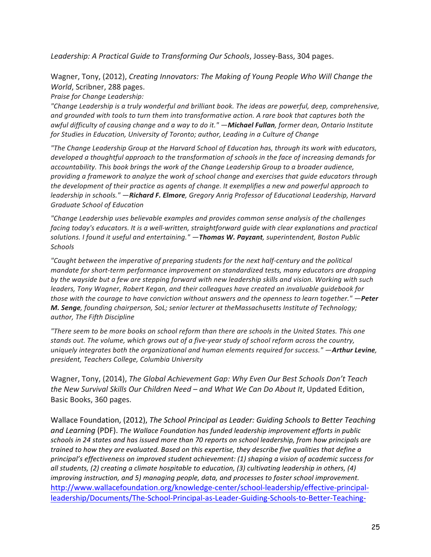Leadership: A Practical Guide to Transforming Our Schools, Jossey-Bass, 304 pages.

Wagner, Tony, (2012), *Creating Innovators: The Making of Young People Who Will Change the World*, Scribner, 288 pages.

**Praise for Change Leadership:** 

*"Change%Leadership is%a%truly%wonderful%and%brilliant%book.%The%ideas%are%powerful,%deep,%comprehensive,%* and grounded with tools to turn them into transformative action. A rare book that captures both the *awful%difficulty%of%causing%change%and%a%way%to%do%it."%—Michael(Fullan,%former%dean,%Ontario%Institute%* for Studies in Education, University of Toronto; author, Leading in a Culture of Change

*"The%Change%Leadership%Group%at%the%Harvard%School%of%Education%has,%through%its%work%with%educators,%* developed a thoughtful approach to the transformation of schools in the face of increasing demands for *accountability.%This%book%brings%the%work%of%the%Change%Leadership%Group%to%a%broader%audience,% providing%a%framework%to%analyze%the%work%of%school%change%and%exercises%that%guide%educators%through%* the development of their practice as agents of change. It exemplifies a new and powerful approach to *leadership in schools." —Richard F. Elmore, Gregory Anrig Professor of Educational Leadership, Harvard* **Graduate School of Education** 

*"Change Leadership uses%believable%examples%and%provides%common%sense%analysis%of%the%challenges% facing today's educators. It is a well-written, straightforward guide with clear explanations and practical solutions.%I%found%it%useful%and%entertaining."%—Thomas(W. Payzant,%superintendent,%Boston%Public% Schools*

*"Caught%between%the%imperative%of%preparing%students%for%the%next%halfUcentury%and%the%political% mandate for short-term performance improvement on standardized tests, many educators are dropping* by the wayside but a few are stepping forward with new leadership skills and vision. Working with such leaders, Tony Wagner, Robert Kegan, and their colleagues have created an invaluable guidebook for *those with the courage to have conviction without answers and the openness to learn together." —Peter* **M. Senge**, founding chairperson, SoL; senior lecturer at theMassachusetts Institute of Technology; *author,%The%Fifth%Discipline*

*"There%seem%to%be%more%books%on%school%reform%than%there%are%schools%in%the%United%States.%This%one%* stands out. The volume, which grows out of a five-year study of school reform across the country, *uniquely integrates both the organizational and human elements required for success." —Arthur Levine, president,%Teachers%College,%Columbia%University*

Wagner, Tony, (2014), *The Global Achievement Gap: Why Even Our Best Schools Don't Teach the%New%Survival%Skills%Our%Children%Need%– and%What%We%Can%Do%About%It*,!Updated!Edition,! Basic Books, 360 pages.

Wallace Foundation, (2012), *The School Principal as Leader: Guiding Schools to Better Teaching* and Learning (PDF). The Wallace Foundation has funded leadership improvement efforts in public schools in 24 states and has issued more than 70 reports on school leadership, from how principals are *trained to how they are evaluated. Based on this expertise, they describe five qualities that define a principal's%effectiveness%on%improved%student%achievement:%(1)%shaping%a%vision%of%academic%success%for%* all students, (2) creating a climate hospitable to education, (3) cultivating leadership in others, (4) *improving instruction, and 5) managing people, data, and processes to foster school improvement.* http://www.wallacefoundation.org/knowledge-center/school-leadership/effective-principalleadership/Documents/The-School-Principal-as-Leader-Guiding-Schools-to-Better-Teaching-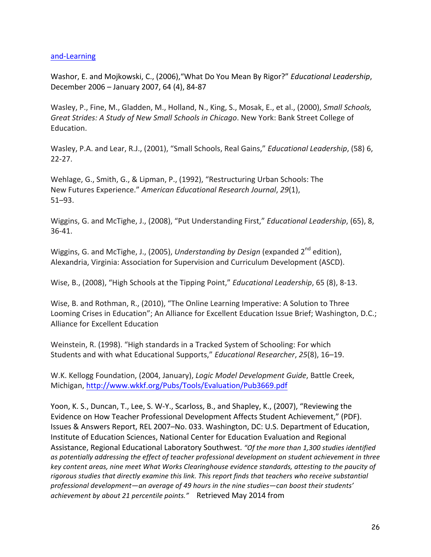## and-Learning

Washor, E. and Mojkowski, C., (2006),"What Do You Mean By Rigor?" *Educational Leadership*, December 2006 – January 2007, 64 (4), 84-87

Wasley, P., Fine, M., Gladden, M., Holland, N., King, S., Mosak, E., et al., (2000), *Small Schools, Great Strides: A Study of New Small Schools in Chicago. New York: Bank Street College of* Education.

Wasley, P.A. and Lear, R.J., (2001), "Small Schools, Real Gains," *Educational Leadership*, (58) 6,  $22-27.$ 

Wehlage, G., Smith, G., & Lipman, P., (1992), "Restructuring Urban Schools: The New Futures Experience." American Educational Research Journal, 29(1), 51–93.!

Wiggins, G. and McTighe, J., (2008), "Put Understanding First," *Educational Leadership*, (65), 8, 36-41.

Wiggins, G. and McTighe, J., (2005), *Understanding by Design* (expanded 2<sup>nd</sup> edition), Alexandria, Virginia: Association for Supervision and Curriculum Development (ASCD).

Wise, B., (2008), "High Schools at the Tipping Point," *Educational Leadership*, 65 (8), 8-13.

Wise, B. and Rothman, R., (2010), "The Online Learning Imperative: A Solution to Three Looming Crises in Education"; An Alliance for Excellent Education Issue Brief; Washington, D.C.; Alliance for Excellent Education

Weinstein, R. (1998). "High standards in a Tracked System of Schooling: For which Students and with what Educational Supports," *Educational Researcher*, 25(8), 16–19.

W.K. Kellogg Foundation, (2004, January), *Logic Model Development Guide*, Battle Creek, Michigan,!http://www.wkkf.org/Pubs/Tools/Evaluation/Pub3669.pdf

Yoon, K. S., Duncan, T., Lee, S. W-Y., Scarloss, B., and Shapley, K., (2007), "Reviewing the Evidence on How Teacher Professional Development Affects Student Achievement," (PDF). Issues & Answers Report, REL 2007–No. 033. Washington, DC: U.S. Department of Education, Institute of Education Sciences, National Center for Education Evaluation and Regional Assistance, Regional Educational Laboratory Southwest. "Of the more than 1,300 studies identified as potentially addressing the effect of teacher professional development on student achievement in three *key%content%areas,%nine%meet%What%Works%Clearinghouse%evidence%standards,%attesting%to%the%paucity%of%* rigorous studies that directly examine this link. This report finds that teachers who receive substantial professional development—an average of 49 hours in the nine studies—can boost their students' achievement by about 21 percentile points." Retrieved May 2014 from